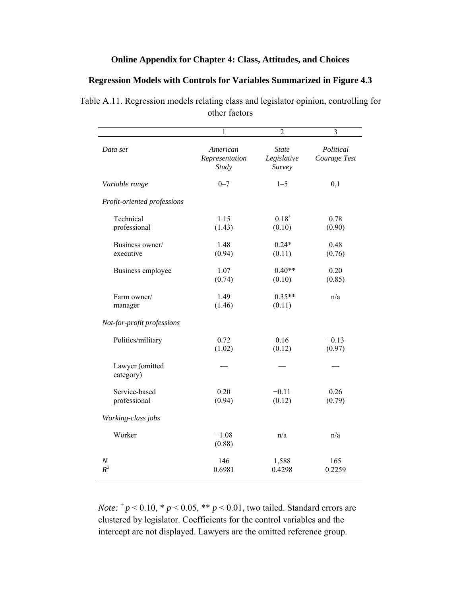## **Online Appendix for Chapter 4: Class, Attitudes, and Choices**

## **Regression Models with Controls for Variables Summarized in Figure 4.3**

| Table A.11. Regression models relating class and legislator opinion, controlling for |  |
|--------------------------------------------------------------------------------------|--|
| other factors                                                                        |  |

|                               | 1                                   | $\overline{c}$                        | 3                         |
|-------------------------------|-------------------------------------|---------------------------------------|---------------------------|
| Data set                      | American<br>Representation<br>Study | <b>State</b><br>Legislative<br>Survey | Political<br>Courage Test |
| Variable range                | $0 - 7$                             | $1 - 5$                               | 0,1                       |
| Profit-oriented professions   |                                     |                                       |                           |
| Technical<br>professional     | 1.15<br>(1.43)                      | $0.18^{+}$<br>(0.10)                  | 0.78<br>(0.90)            |
| Business owner/<br>executive  | 1.48<br>(0.94)                      | $0.24*$<br>(0.11)                     | 0.48<br>(0.76)            |
| Business employee             | 1.07<br>(0.74)                      | $0.40**$<br>(0.10)                    | 0.20<br>(0.85)            |
| Farm owner/<br>manager        | 1.49<br>(1.46)                      | $0.35**$<br>(0.11)                    | n/a                       |
| Not-for-profit professions    |                                     |                                       |                           |
| Politics/military             | 0.72<br>(1.02)                      | 0.16<br>(0.12)                        | $-0.13$<br>(0.97)         |
| Lawyer (omitted<br>category)  |                                     |                                       |                           |
| Service-based<br>professional | 0.20<br>(0.94)                      | $-0.11$<br>(0.12)                     | 0.26<br>(0.79)            |
| Working-class jobs            |                                     |                                       |                           |
| Worker                        | $-1.08$<br>(0.88)                   | n/a                                   | n/a                       |
| $\cal N$<br>$R^2$             | 146<br>0.6981                       | 1,588<br>0.4298                       | 165<br>0.2259             |

*Note:*  $^{+}p$  < 0.10,  $^{*}p$  < 0.05,  $^{**}p$  < 0.01, two tailed. Standard errors are clustered by legislator. Coefficients for the control variables and the intercept are not displayed. Lawyers are the omitted reference group.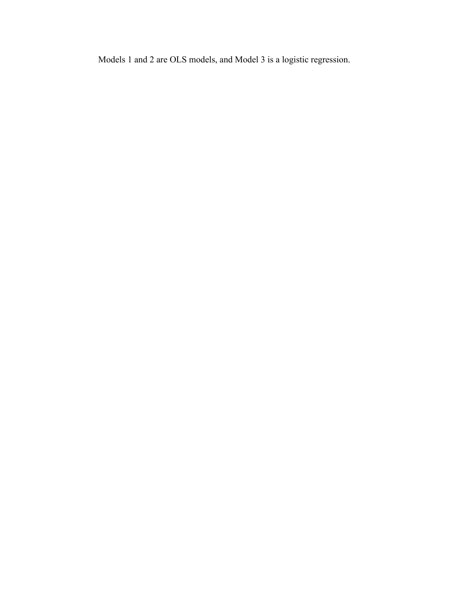Models 1 and 2 are OLS models, and Model 3 is a logistic regression.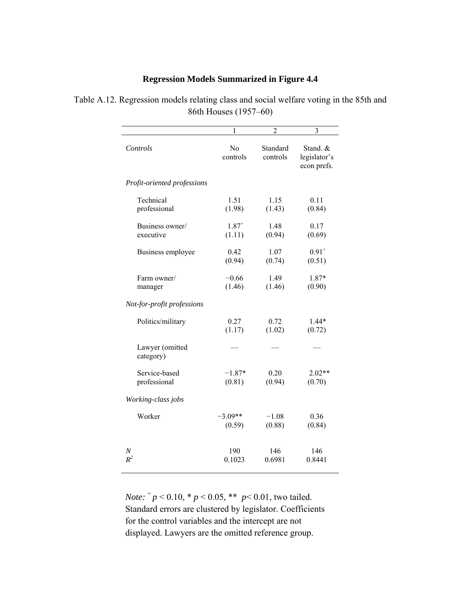## **Regression Models Summarized in Figure 4.4**

|                              | 1                          | $\overline{2}$       | 3                                       |
|------------------------------|----------------------------|----------------------|-----------------------------------------|
| Controls                     | N <sub>0</sub><br>controls | Standard<br>controls | Stand. &<br>legislator's<br>econ prefs. |
| Profit-oriented professions  |                            |                      |                                         |
| Technical                    | 1.51                       | 1.15                 | 0.11                                    |
| professional                 | (1.98)                     | (1.43)               | (0.84)                                  |
| Business owner/              | $1.87^{+}$                 | 1.48                 | 0.17                                    |
| executive                    | (1.11)                     | (0.94)               | (0.69)                                  |
| Business employee            | 0.42                       | 1.07                 | $0.91^{+}$                              |
|                              | (0.94)                     | (0.74)               | (0.51)                                  |
| Farm owner/                  | $-0.66$                    | 1.49                 | 1.87*                                   |
| manager                      | (1.46)                     | (1.46)               | (0.90)                                  |
| Not-for-profit professions   |                            |                      |                                         |
| Politics/military            | 0.27                       | 0.72                 | 1.44*                                   |
|                              | (1.17)                     | (1.02)               | (0.72)                                  |
| Lawyer (omitted<br>category) |                            |                      |                                         |
| Service-based                | $-1.87*$                   | 0.20                 | $2.02**$                                |
| professional                 | (0.81)                     | (0.94)               | (0.70)                                  |
| Working-class jobs           |                            |                      |                                         |
| Worker                       | $-3.09**$                  | $-1.08$              | 0.36                                    |
|                              | (0.59)                     | (0.88)               | (0.84)                                  |
| N                            | 190                        | 146                  | 146                                     |
| $R^2$                        | 0.1023                     | 0.6981               | 0.8441                                  |

Table A.12. Regression models relating class and social welfare voting in the 85th and 86th Houses (1957–60)

> *Note:*  $^{+}p$  < 0.10,  $^{*}p$  < 0.05,  $^{**}p$  < 0.01, two tailed. Standard errors are clustered by legislator. Coefficients for the control variables and the intercept are not displayed. Lawyers are the omitted reference group.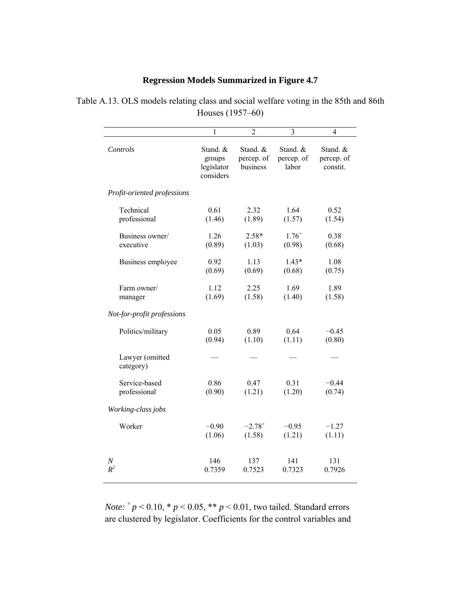## **Regression Models Summarized in Figure 4.7**

Table A.13. OLS models relating class and social welfare voting in the 85th and 86th Houses (1957–60)

|                              | 1                                             | $\overline{2}$                     | 3                               | 4                                  |
|------------------------------|-----------------------------------------------|------------------------------------|---------------------------------|------------------------------------|
| Controls                     | Stand. &<br>groups<br>legislator<br>considers | Stand. &<br>percep. of<br>business | Stand. &<br>percep. of<br>labor | Stand. &<br>percep. of<br>constit. |
| Profit-oriented professions  |                                               |                                    |                                 |                                    |
| Technical                    | 0.61                                          | 2.32                               | 1.64                            | 0.52                               |
| professional                 | (1.46)                                        | (1.89)                             | (1.57)                          | (1.54)                             |
| Business owner/              | 1.26                                          | $2.58*$                            | $1.76^{+}$                      | 0.38                               |
| executive                    | (0.89)                                        | (1.03)                             | (0.98)                          | (0.68)                             |
| Business employee            | 0.92                                          | 1.13                               | $1.43*$                         | 1.08                               |
|                              | (0.69)                                        | (0.69)                             | (0.68)                          | (0.75)                             |
| Farm owner/                  | 1.12                                          | 2.25                               | 1.69                            | 1.89                               |
| manager                      | (1.69)                                        | (1.58)                             | (1.40)                          | (1.58)                             |
| Not-for-profit professions   |                                               |                                    |                                 |                                    |
| Politics/military            | 0.05                                          | 0.89                               | 0.64                            | $-0.45$                            |
|                              | (0.94)                                        | (1.10)                             | (1.11)                          | (0.80)                             |
| Lawyer (omitted<br>category) |                                               |                                    |                                 |                                    |
| Service-based                | 0.86                                          | 0.47                               | 0.31                            | $-0.44$                            |
| professional                 | (0.90)                                        | (1.21)                             | (1.20)                          | (0.74)                             |
| Working-class jobs           |                                               |                                    |                                 |                                    |
| Worker                       | $-0.90$                                       | $-2.78^{+}$                        | $-0.95$                         | $-1.27$                            |
|                              | (1.06)                                        | (1.58)                             | (1.21)                          | (1.11)                             |
| $\boldsymbol{N}$             | 146                                           | 137                                | 141                             | 131                                |
| $R^2$                        | 0.7359                                        | 0.7523                             | 0.7323                          | 0.7926                             |

*Note:*  $^{+}p$  < 0.10,  $^{*}p$  < 0.05,  $^{**}p$  < 0.01, two tailed. Standard errors are clustered by legislator. Coefficients for the control variables and